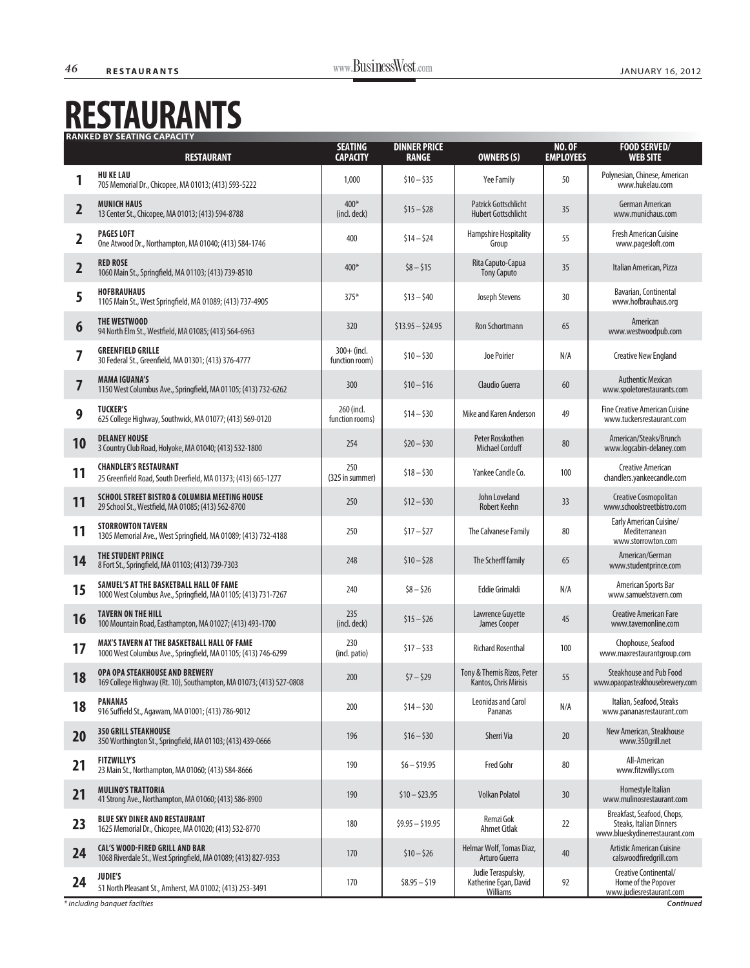## **RESTAURANTS**

|                         |                                                                                                                      | <b>CAPACITY</b>                 | <b>RANGE</b>      | OWNERS <sub>(S)</sub>                                   | <b>EMPLOYEES</b> | <b>WEB SITE</b>                                                                         |
|-------------------------|----------------------------------------------------------------------------------------------------------------------|---------------------------------|-------------------|---------------------------------------------------------|------------------|-----------------------------------------------------------------------------------------|
|                         | <b>HU KE LAU</b><br>705 Memorial Dr., Chicopee, MA 01013; (413) 593-5222                                             | 1,000                           | $$10 - $35$       | Yee Family                                              | 50               | Polynesian, Chinese, American<br>www.hukelau.com                                        |
| $\overline{\mathbf{2}}$ | <b>MUNICH HAUS</b><br>13 Center St., Chicopee, MA 01013; (413) 594-8788                                              | $400*$<br>(incl. deck)          | $$15 - $28$       | Patrick Gottschlicht<br><b>Hubert Gottschlicht</b>      | 35               | German American<br>www.munichaus.com                                                    |
| 2                       | <b>PAGES LOFT</b><br>One Atwood Dr., Northampton, MA 01040; (413) 584-1746                                           | 400                             | $$14 - $24$       | Hampshire Hospitality<br>Group                          | 55               | <b>Fresh American Cuisine</b><br>www.pagesloft.com                                      |
| $\overline{\mathbf{2}}$ | <b>RED ROSE</b><br>1060 Main St., Springfield, MA 01103; (413) 739-8510                                              | $400*$                          | $$8 - $15$        | Rita Caputo-Capua<br><b>Tony Caputo</b>                 | 35               | Italian American, Pizza                                                                 |
| 5                       | <b>HOFBRAUHAUS</b><br>1105 Main St., West Springfield, MA 01089; (413) 737-4905                                      | $375*$                          | $$13 - $40$       | Joseph Stevens                                          | 30               | Bavarian, Continental<br>www.hofbrauhaus.org                                            |
| 6                       | THE WESTWOOD<br>94 North Elm St., Westfield, MA 01085; (413) 564-6963                                                | 320                             | $$13.95 - $24.95$ | <b>Ron Schortmann</b>                                   | 65               | American<br>www.westwoodpub.com                                                         |
|                         | <b>GREENFIELD GRILLE</b><br>30 Federal St., Greenfield, MA 01301; (413) 376-4777                                     | $300 + (ind.$<br>function room) | $$10 - $30$       | Joe Poirier                                             | N/A              | <b>Creative New England</b>                                                             |
| 7                       | <b>MAMA IGUANA'S</b><br>1150 West Columbus Ave., Springfield, MA 01105; (413) 732-6262                               | 300                             | $$10 - $16$       | Claudio Guerra                                          | 60               | <b>Authentic Mexican</b><br>www.spoletorestaurants.com                                  |
| 9                       | <b>TUCKER'S</b><br>625 College Highway, Southwick, MA 01077; (413) 569-0120                                          | 260 (incl.<br>function rooms)   | $$14 - $30$       | Mike and Karen Anderson                                 | 49               | <b>Fine Creative American Cuisine</b><br>www.tuckersrestaurant.com                      |
| 10                      | <b>DELANEY HOUSE</b><br>3 Country Club Road, Holyoke, MA 01040; (413) 532-1800                                       | 254                             | $$20 - $30$       | Peter Rosskothen<br><b>Michael Corduff</b>              | 80               | American/Steaks/Brunch<br>www.logcabin-delaney.com                                      |
| 11                      | <b>CHANDLER'S RESTAURANT</b><br>25 Greenfield Road, South Deerfield, MA 01373; (413) 665-1277                        | 250<br>(325 in summer)          | $$18 - $30$       | Yankee Candle Co.                                       | 100              | <b>Creative American</b><br>chandlers.yankeecandle.com                                  |
| 11                      | <b>SCHOOL STREET BISTRO &amp; COLUMBIA MEETING HOUSE</b><br>29 School St., Westfield, MA 01085; (413) 562-8700       | 250                             | $$12 - $30$       | John Loveland<br>Robert Keehn                           | 33               | Creative Cosmopolitan<br>www.schoolstreetbistro.com                                     |
| 11                      | <b>STORROWTON TAVERN</b><br>1305 Memorial Ave., West Springfield, MA 01089; (413) 732-4188                           | 250                             | $$17 - $27$       | The Calvanese Family                                    | 80               | Early American Cuisine/<br>Mediterranean<br>www.storrowton.com                          |
| 14                      | THE STUDENT PRINCE<br>8 Fort St., Springfield, MA 01103; (413) 739-7303                                              | 248                             | $$10 - $28$       | The Scherff family                                      | 65               | American/German<br>www.studentprince.com                                                |
| 15                      | SAMUEL'S AT THE BASKETBALL HALL OF FAME<br>1000 West Columbus Ave., Springfield, MA 01105; (413) 731-7267            | 240                             | $$8 - $26$        | <b>Eddie Grimaldi</b>                                   | N/A              | American Sports Bar<br>www.samuelstavern.com                                            |
| 16                      | <b>TAVERN ON THE HILL</b><br>100 Mountain Road, Easthampton, MA 01027; (413) 493-1700                                | 235<br>(incl. deck)             | $$15 - $26$       | Lawrence Guyette<br>James Cooper                        | 45               | <b>Creative American Fare</b><br>www.tavernonline.com                                   |
| 17                      | <b>MAX'S TAVERN AT THE BASKETBALL HALL OF FAME</b><br>1000 West Columbus Ave., Springfield, MA 01105; (413) 746-6299 | 230<br>(incl. patio)            | $$17 - $33$       | <b>Richard Rosenthal</b>                                | 100              | Chophouse, Seafood<br>www.maxrestaurantgroup.com                                        |
| 18                      | OPA OPA STEAKHOUSE AND BREWERY<br>169 College Highway (Rt. 10), Southampton, MA 01073; (413) 527-0808                | 200                             | $$7 - $29$        | Tony & Themis Rizos, Peter<br>Kantos, Chris Mirisis     | 55               | <b>Steakhouse and Pub Food</b><br>www.opaopasteakhousebrewery.com                       |
| 18                      | <b>PANANAS</b><br>916 Suffield St., Agawam, MA 01001; (413) 786-9012                                                 | 200                             | $$14 - $30$       | <b>Leonidas and Carol</b><br>Pananas                    | N/A              | Italian, Seafood, Steaks<br>www.pananasrestaurant.com                                   |
| 20                      | <b>350 GRILL STEAKHOUSE</b><br>350 Worthington St., Springfield, MA 01103; (413) 439-0666                            | 196                             | $$16 - $30$       | Sherri Via                                              | 20               | New American, Steakhouse<br>www.350grill.net                                            |
| 21                      | <b>FITZWILLY'S</b><br>23 Main St., Northampton, MA 01060; (413) 584-8666                                             | 190                             | $$6 - $19.95$     | <b>Fred Gohr</b>                                        | 80               | All-American<br>www.fitzwillys.com                                                      |
| 21                      | <b>MULINO'S TRATTORIA</b><br>41 Strong Ave., Northampton, MA 01060; (413) 586-8900                                   | 190                             | $$10 - $23.95$    | <b>Volkan Polatol</b>                                   | 30               | Homestyle Italian<br>www.mulinosrestaurant.com                                          |
| 23                      | <b>BLUE SKY DINER AND RESTAURANT</b><br>1625 Memorial Dr., Chicopee, MA 01020; (413) 532-8770                        | 180                             | $$9.95 - $19.95$  | Remzi Gok<br><b>Ahmet Citlak</b>                        | 22               | Breakfast, Seafood, Chops,<br>Steaks, Italian Dinners<br>www.blueskydinerrestaurant.com |
| 24                      | <b>CAL'S WOOD-FIRED GRILL AND BAR</b><br>1068 Riverdale St., West Springfield, MA 01089; (413) 827-9353              | 170                             | $$10 - $26$       | Helmar Wolf, Tomas Diaz,<br>Arturo Guerra               | 40               | <b>Artistic American Cuisine</b><br>calswoodfiredgrill.com                              |
| 24                      | <b>JUDIE'S</b><br>51 North Pleasant St., Amherst, MA 01002; (413) 253-3491                                           | 170                             | $$8.95 - $19$     | Judie Teraspulsky,<br>Katherine Egan, David<br>Williams | 92               | Creative Continental/<br>Home of the Popover<br>www.judiesrestaurant.com                |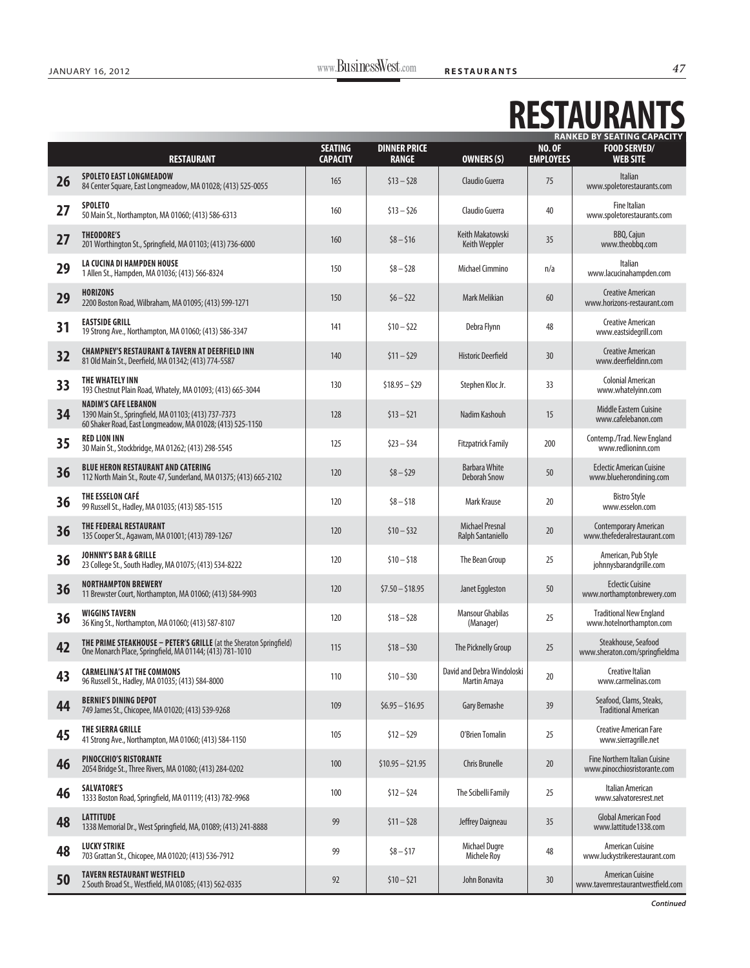## **RESTAURANTS RANKED BY SEATING CAPACITY**

|    | <b>RESTAURANT</b>                                                                                                                                | <b>SEATING</b><br><b>CAPACITY</b> | <b>DINNER PRICE</b><br><b>RANGE</b> | <b>OWNERS (S)</b>                           | <b>NO. OF</b><br><b>EMPLOYEES</b> | KANKED BY SEATING CAPACITY<br><b>FOOD SERVED/</b><br><b>WEB SITE</b> |
|----|--------------------------------------------------------------------------------------------------------------------------------------------------|-----------------------------------|-------------------------------------|---------------------------------------------|-----------------------------------|----------------------------------------------------------------------|
| 26 | <b>SPOLETO EAST LONGMEADOW</b><br>84 Center Square, East Longmeadow, MA 01028; (413) 525-0055                                                    | 165                               | $$13 - $28$                         | Claudio Guerra                              | 75                                | Italian<br>www.spoletorestaurants.com                                |
| 27 | <b>SPOLETO</b><br>50 Main St., Northampton, MA 01060; (413) 586-6313                                                                             | 160                               | $$13 - $26$                         | Claudio Guerra                              | 40                                | <b>Fine Italian</b><br>www.spoletorestaurants.com                    |
| 27 | THEODORE'S<br>201 Worthington St., Springfield, MA 01103; (413) 736-6000                                                                         | 160                               | $$8 - $16$                          | Keith Makatowski<br>Keith Weppler           | 35                                | BBQ, Cajun<br>www.theobbq.com                                        |
| 29 | LA CUCINA DI HAMPDEN HOUSE<br>1 Allen St., Hampden, MA 01036; (413) 566-8324                                                                     | 150                               | $$8 - $28$                          | Michael Cimmino                             | n/a                               | Italian<br>www.lacucinahampden.com                                   |
| 29 | <b>HORIZONS</b><br>2200 Boston Road, Wilbraham, MA 01095; (413) 599-1271                                                                         | 150                               | $$6 - $22$                          | Mark Melikian                               | 60                                | <b>Creative American</b><br>www.horizons-restaurant.com              |
| 31 | <b>EASTSIDE GRILL</b><br>19 Strong Ave., Northampton, MA 01060; (413) 586-3347                                                                   | 141                               | $$10 - $22$                         | Debra Flynn                                 | 48                                | <b>Creative American</b><br>www.eastsidegrill.com                    |
| 32 | <b>CHAMPNEY'S RESTAURANT &amp; TAVERN AT DEERFIELD INN</b><br>81 Old Main St., Deerfield, MA 01342; (413) 774-5587                               | 140                               | $$11 - $29$                         | <b>Historic Deerfield</b>                   | 30                                | <b>Creative American</b><br>www.deerfieldinn.com                     |
| 33 | THE WHATELY INN<br>193 Chestnut Plain Road, Whately, MA 01093; (413) 665-3044                                                                    | 130                               | $$18.95 - $29$                      | Stephen Kloc Jr.                            | 33                                | <b>Colonial American</b><br>www.whatelyinn.com                       |
| 34 | <b>NADIM'S CAFE LEBANON</b><br>1390 Main St., Springfield, MA 01103; (413) 737-7373<br>60 Shaker Road, East Longmeadow, MA 01028; (413) 525-1150 | 128                               | $$13 - $21$                         | Nadim Kashouh                               | 15                                | Middle Eastern Cuisine<br>www.cafelebanon.com                        |
| 35 | <b>RED LION INN</b><br>30 Main St., Stockbridge, MA 01262; (413) 298-5545                                                                        | 125                               | $$23 - $34$                         | <b>Fitzpatrick Family</b>                   | 200                               | Contemp./Trad. New England<br>www.redlioninn.com                     |
| 36 | <b>BLUE HERON RESTAURANT AND CATERING</b><br>112 North Main St., Route 47, Sunderland, MA 01375; (413) 665-2102                                  | 120                               | $$8 - $29$                          | <b>Barbara White</b><br><b>Deborah Snow</b> | 50                                | <b>Eclectic American Cuisine</b><br>www.blueherondining.com          |
| 36 | THE ESSELON CAFÉ<br>99 Russell St., Hadley, MA 01035; (413) 585-1515                                                                             | 120                               | $$8 - $18$                          | Mark Krause                                 | 20                                | <b>Bistro Style</b><br>www.esselon.com                               |
| 36 | THE FEDERAL RESTAURANT<br>135 Cooper St., Agawam, MA 01001; (413) 789-1267                                                                       | 120                               | $$10 - $32$                         | <b>Michael Presnal</b><br>Ralph Santaniello | 20                                | <b>Contemporary American</b><br>www.thefederalrestaurant.com         |
| 36 | <b>JOHNNY'S BAR &amp; GRILLE</b><br>23 College St., South Hadley, MA 01075; (413) 534-8222                                                       | 120                               | $$10 - $18$                         | The Bean Group                              | 25                                | American, Pub Style<br>johnnysbarandgrille.com                       |
| 36 | <b>NORTHAMPTON BREWERY</b><br>11 Brewster Court, Northampton, MA 01060; (413) 584-9903                                                           | 120                               | $$7.50 - $18.95$                    | Janet Eggleston                             | 50                                | <b>Eclectic Cuisine</b><br>www.northamptonbrewery.com                |
| 36 | <b>WIGGINS TAVERN</b><br>36 King St., Northampton, MA 01060; (413) 587-8107                                                                      | 120                               | $$18 - $28$                         | <b>Mansour Ghabilas</b><br>(Manager)        | 25                                | <b>Traditional New England</b><br>www.hotelnorthampton.com           |
| 42 | THE PRIME STEAKHOUSE - PETER'S GRILLE (at the Sheraton Springfield)<br>One Monarch Place, Springfield, MA 01144; (413) 781-1010                  | 115                               | $$18 - $30$                         | The Picknelly Group                         | 25                                | Steakhouse, Seafood<br>www.sheraton.com/springfieldma                |
| 43 | <b>CARMELINA'S AT THE COMMONS</b><br>96 Russell St., Hadley, MA 01035; (413) 584-8000                                                            | 110                               | $$10 - $30$                         | David and Debra Windoloski<br>Martin Amaya  | 20                                | Creative Italian<br>www.carmelinas.com                               |
| 44 | <b>BERNIE'S DINING DEPOT</b><br>749 James St., Chicopee, MA 01020; (413) 539-9268                                                                | 109                               | $$6.95 - $16.95$                    | Gary Bernashe                               | 39                                | Seafood, Clams, Steaks,<br><b>Traditional American</b>               |
| 45 | THE SIERRA GRILLE<br>41 Strong Ave., Northampton, MA 01060; (413) 584-1150                                                                       | 105                               | $$12 - $29$                         | O'Brien Tomalin                             | 25                                | <b>Creative American Fare</b><br>www.sierragrille.net                |
| 46 | <b>PINOCCHIO'S RISTORANTE</b><br>2054 Bridge St., Three Rivers, MA 01080; (413) 284-0202                                                         | 100                               | $$10.95 - $21.95$                   | <b>Chris Brunelle</b>                       | 20                                | <b>Fine Northern Italian Cuisine</b><br>www.pinocchiosristorante.com |
| 46 | <b>SALVATORE'S</b><br>1333 Boston Road, Springfield, MA 01119; (413) 782-9968                                                                    | 100                               | $$12 - $24$                         | The Scibelli Family                         | 25                                | Italian American<br>www.salvatoresrest.net                           |
| 48 | <b>LATTITUDE</b><br>1338 Memorial Dr., West Springfield, MA, 01089; (413) 241-8888                                                               | 99                                | $$11 - $28$                         | Jeffrey Daigneau                            | 35                                | <b>Global American Food</b><br>www.lattitude1338.com                 |
| 48 | <b>LUCKY STRIKE</b><br>703 Grattan St., Chicopee, MA 01020; (413) 536-7912                                                                       | 99                                | $$8 - $17$                          | Michael Dugre<br><b>Michele Roy</b>         | 48                                | American Cuisine<br>www.luckystrikerestaurant.com                    |
| 50 | <b>TAVERN RESTAURANT WESTFIELD</b><br>2 South Broad St., Westfield, MA 01085; (413) 562-0335                                                     | 92                                | $$10 - $21$                         | John Bonavita                               | 30                                | <b>American Cuisine</b><br>www.tavernrestaurantwestfield.com         |